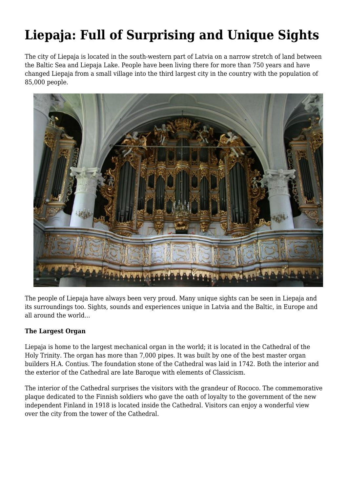# **Liepaja: Full of Surprising and Unique Sights**

The city of Liepaja is located in the south-western part of Latvia on a narrow stretch of land between the Baltic Sea and Liepaja Lake. People have been living there for more than 750 years and have changed Liepaja from a small village into the third largest city in the country with the population of 85,000 people.



The people of Liepaja have always been very proud. Many unique sights can be seen in Liepaja and its surroundings too. Sights, sounds and experiences unique in Latvia and the Baltic, in Europe and all around the world...

### **The Largest Organ**

Liepaja is home to the largest mechanical organ in the world; it is located in the Cathedral of the Holy Trinity. The organ has more than 7,000 pipes. It was built by one of the best master organ builders H.A. Contius. The foundation stone of the Cathedral was laid in 1742. Both the interior and the exterior of the Cathedral are late Baroque with elements of Classicism.

The interior of the Cathedral surprises the visitors with the grandeur of Rococo. The commemorative plaque dedicated to the Finnish soldiers who gave the oath of loyalty to the government of the new independent Finland in 1918 is located inside the Cathedral. Visitors can enjoy a wonderful view over the city from the tower of the Cathedral.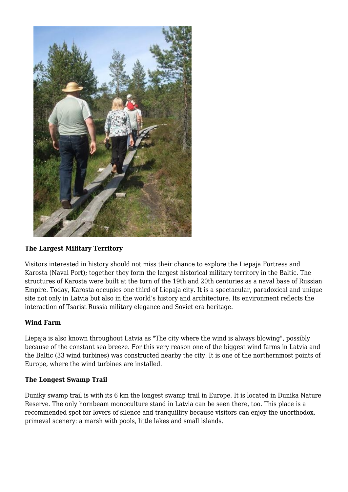

### **The Largest Military Territory**

Visitors interested in history should not miss their chance to explore the Liepaja Fortress and Karosta (Naval Port); together they form the largest historical military territory in the Baltic. The structures of Karosta were built at the turn of the 19th and 20th centuries as a naval base of Russian Empire. Today, Karosta occupies one third of Liepaja city. It is a spectacular, paradoxical and unique site not only in Latvia but also in the world's history and architecture. Its environment reflects the interaction of Tsarist Russia military elegance and Soviet era heritage.

### **Wind Farm**

Liepaja is also known throughout Latvia as "The city where the wind is always blowing", possibly because of the constant sea breeze. For this very reason one of the biggest wind farms in Latvia and the Baltic (33 wind turbines) was constructed nearby the city. It is one of the northernmost points of Europe, where the wind turbines are installed.

#### **The Longest Swamp Trail**

Duniky swamp trail is with its 6 km the longest swamp trail in Europe. It is located in Dunika Nature Reserve. The only hornbeam monoculture stand in Latvia can be seen there, too. This place is a recommended spot for lovers of silence and tranquillity because visitors can enjoy the unorthodox, primeval scenery: a marsh with pools, little lakes and small islands.